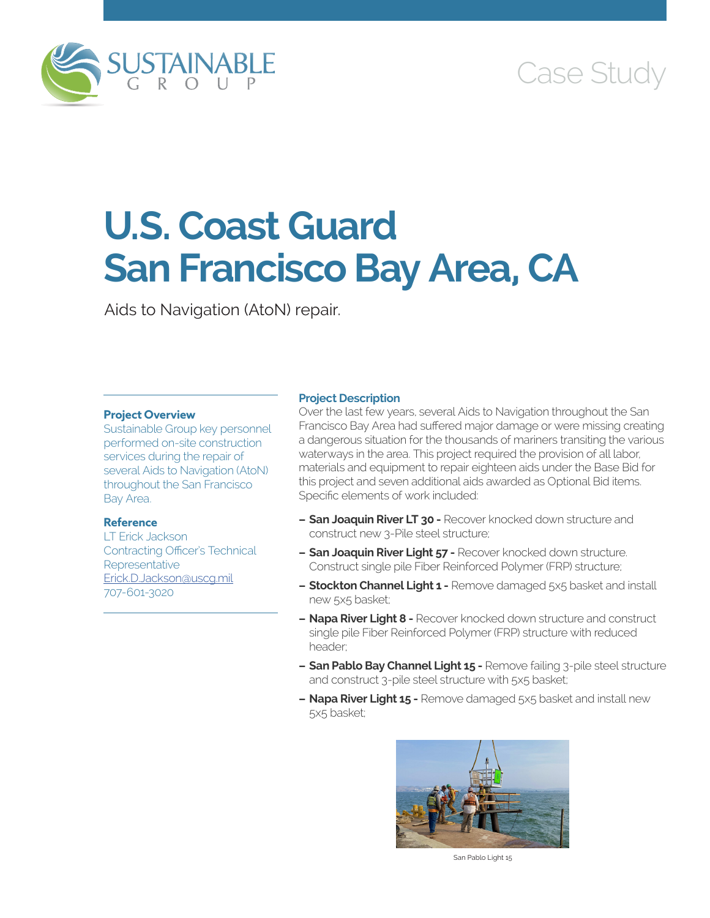

# Case Study

# **U.S. Coast Guard San Francisco Bay Area, CA**

Aids to Navigation (AtoN) repair.

### **Project Overview**

Sustainable Group key personnel performed on-site construction services during the repair of several Aids to Navigation (AtoN) throughout the San Francisco Bay Area.

## **Reference**

LT Erick Jackson Contracting Officer's Technical Representative [Erick.D.Jackson@uscg.mil](mailto:Erick.D.Jackson@uscg.mil) 707-601-3020

#### **Project Description**

Over the last few years, several Aids to Navigation throughout the San Francisco Bay Area had suffered major damage or were missing creating a dangerous situation for the thousands of mariners transiting the various waterways in the area. This project required the provision of all labor, materials and equipment to repair eighteen aids under the Base Bid for this project and seven additional aids awarded as Optional Bid items. Specific elements of work included:

- **– San Joaquin River LT 30 -** Recover knocked down structure and construct new 3-Pile steel structure;
- **– San Joaquin River Light 57 -** Recover knocked down structure. Construct single pile Fiber Reinforced Polymer (FRP) structure;
- **– Stockton Channel Light 1 -** Remove damaged 5x5 basket and install new 5x5 basket;
- **– Napa River Light 8 -** Recover knocked down structure and construct single pile Fiber Reinforced Polymer (FRP) structure with reduced header;
- **– San Pablo Bay Channel Light 15 -** Remove failing 3-pile steel structure and construct 3-pile steel structure with 5x5 basket;
- **– Napa River Light 15 -** Remove damaged 5x5 basket and install new 5x5 basket;



San Pablo Light 15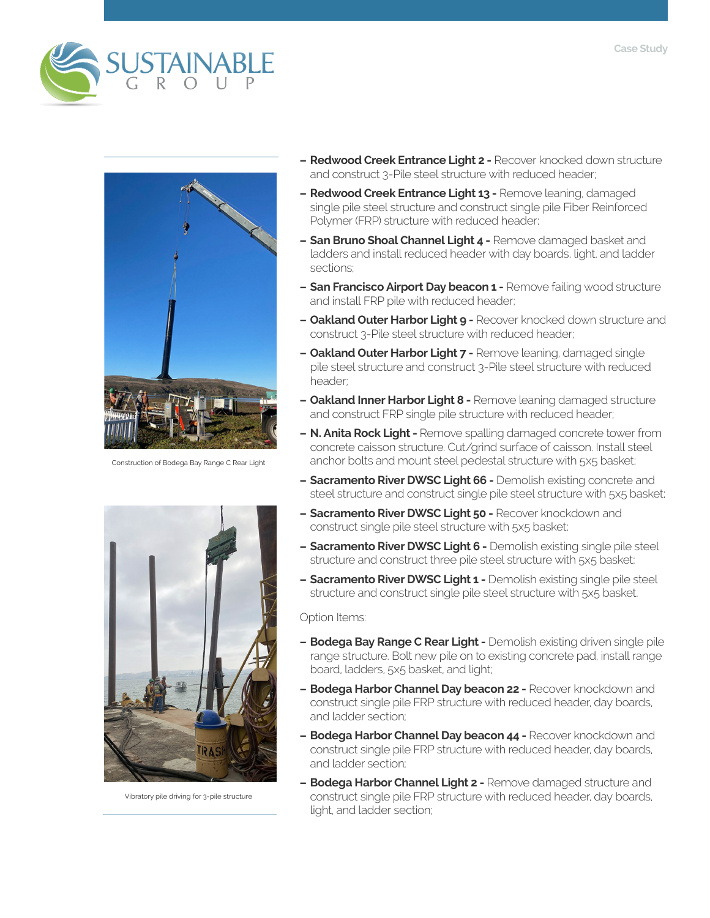



Construction of Bodega Bay Range C Rear Light



Vibratory pile driving for 3-pile structure

- **– Redwood Creek Entrance Light 2 -** Recover knocked down structure and construct 3-Pile steel structure with reduced header;
- **– Redwood Creek Entrance Light 13 -** Remove leaning, damaged single pile steel structure and construct single pile Fiber Reinforced Polymer (FRP) structure with reduced header;
- **– San Bruno Shoal Channel Light 4 -** Remove damaged basket and ladders and install reduced header with day boards, light, and ladder sections;
- **– San Francisco Airport Day beacon 1 -** Remove failing wood structure and install FRP pile with reduced header;
- **– Oakland Outer Harbor Light 9 -** Recover knocked down structure and construct 3-Pile steel structure with reduced header;
- **– Oakland Outer Harbor Light 7 -** Remove leaning, damaged single pile steel structure and construct 3-Pile steel structure with reduced header;
- **– Oakland Inner Harbor Light 8 -** Remove leaning damaged structure and construct FRP single pile structure with reduced header;
- **– N. Anita Rock Light** Remove spalling damaged concrete tower from concrete caisson structure. Cut/grind surface of caisson. Install steel anchor bolts and mount steel pedestal structure with 5x5 basket;
- **– Sacramento River DWSC Light 66 -** Demolish existing concrete and steel structure and construct single pile steel structure with 5x5 basket;
- **– Sacramento River DWSC Light 50 -** Recover knockdown and construct single pile steel structure with 5x5 basket;
- **– Sacramento River DWSC Light 6 -** Demolish existing single pile steel structure and construct three pile steel structure with 5x5 basket;
- **– Sacramento River DWSC Light 1 -** Demolish existing single pile steel structure and construct single pile steel structure with 5x5 basket.

Option Items:

- **– Bodega Bay Range C Rear Light -** Demolish existing driven single pile range structure. Bolt new pile on to existing concrete pad, install range board, ladders, 5x5 basket, and light;
- **– Bodega Harbor Channel Day beacon 22 -** Recover knockdown and construct single pile FRP structure with reduced header, day boards, and ladder section;
- **– Bodega Harbor Channel Day beacon 44 -** Recover knockdown and construct single pile FRP structure with reduced header, day boards, and ladder section;
- **– Bodega Harbor Channel Light 2 -** Remove damaged structure and construct single pile FRP structure with reduced header, day boards, light, and ladder section;